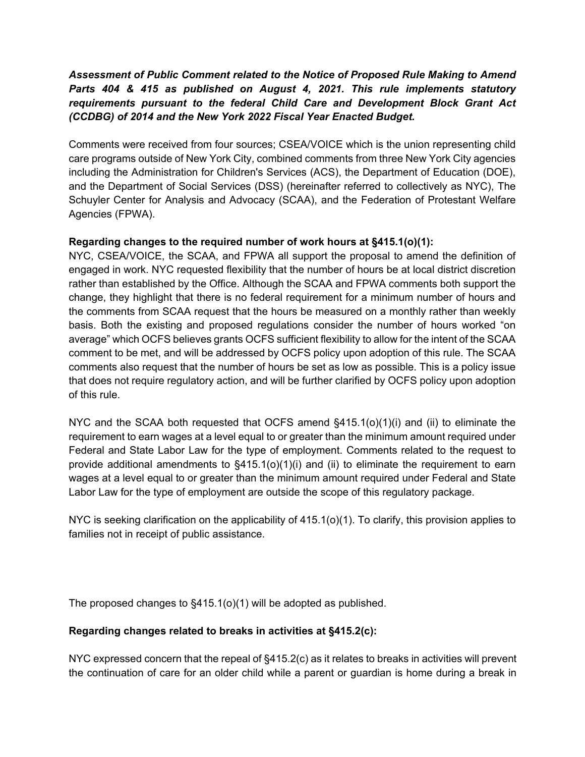# *Assessment of Public Comment related to the Notice of Proposed Rule Making to Amend Parts 404 & 415 as published on August 4, 2021. This rule implements statutory requirements pursuant to the federal Child Care and Development Block Grant Act (CCDBG) of 2014 and the New York 2022 Fiscal Year Enacted Budget.*

Comments were received from four sources; CSEA/VOICE which is the union representing child care programs outside of New York City, combined comments from three New York City agencies including the Administration for Children's Services (ACS), the Department of Education (DOE), and the Department of Social Services (DSS) (hereinafter referred to collectively as NYC), The Schuyler Center for Analysis and Advocacy (SCAA), and the Federation of Protestant Welfare Agencies (FPWA).

## **Regarding changes to the required number of work hours at §415.1(o)(1):**

NYC, CSEA/VOICE, the SCAA, and FPWA all support the proposal to amend the definition of engaged in work. NYC requested flexibility that the number of hours be at local district discretion rather than established by the Office. Although the SCAA and FPWA comments both support the change, they highlight that there is no federal requirement for a minimum number of hours and the comments from SCAA request that the hours be measured on a monthly rather than weekly basis. Both the existing and proposed regulations consider the number of hours worked "on average" which OCFS believes grants OCFS sufficient flexibility to allow for the intent of the SCAA comment to be met, and will be addressed by OCFS policy upon adoption of this rule. The SCAA comments also request that the number of hours be set as low as possible. This is a policy issue that does not require regulatory action, and will be further clarified by OCFS policy upon adoption of this rule.

NYC and the SCAA both requested that OCFS amend  $\S415.1(o)(1)(i)$  and (ii) to eliminate the requirement to earn wages at a level equal to or greater than the minimum amount required under Federal and State Labor Law for the type of employment. Comments related to the request to provide additional amendments to  $\S415.1(0)(1)(i)$  and (ii) to eliminate the requirement to earn wages at a level equal to or greater than the minimum amount required under Federal and State Labor Law for the type of employment are outside the scope of this regulatory package.

NYC is seeking clarification on the applicability of 415.1(o)(1). To clarify, this provision applies to families not in receipt of public assistance.

The proposed changes to §415.1(o)(1) will be adopted as published.

## **Regarding changes related to breaks in activities at §415.2(c):**

NYC expressed concern that the repeal of §415.2(c) as it relates to breaks in activities will prevent the continuation of care for an older child while a parent or guardian is home during a break in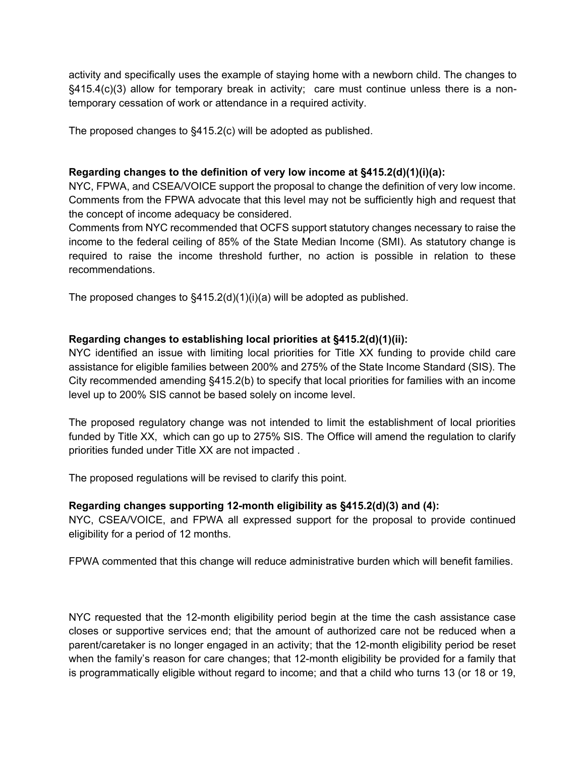activity and specifically uses the example of staying home with a newborn child. The changes to §415.4(c)(3) allow for temporary break in activity; care must continue unless there is a nontemporary cessation of work or attendance in a required activity.

The proposed changes to §415.2(c) will be adopted as published.

#### **Regarding changes to the definition of very low income at §415.2(d)(1)(i)(a):**

NYC, FPWA, and CSEA/VOICE support the proposal to change the definition of very low income. Comments from the FPWA advocate that this level may not be sufficiently high and request that the concept of income adequacy be considered.

Comments from NYC recommended that OCFS support statutory changes necessary to raise the income to the federal ceiling of 85% of the State Median Income (SMI). As statutory change is required to raise the income threshold further, no action is possible in relation to these recommendations.

The proposed changes to §415.2(d)(1)(i)(a) will be adopted as published.

## **Regarding changes to establishing local priorities at §415.2(d)(1)(ii):**

NYC identified an issue with limiting local priorities for Title XX funding to provide child care assistance for eligible families between 200% and 275% of the State Income Standard (SIS). The City recommended amending §415.2(b) to specify that local priorities for families with an income level up to 200% SIS cannot be based solely on income level.

The proposed regulatory change was not intended to limit the establishment of local priorities funded by Title XX, which can go up to 275% SIS. The Office will amend the regulation to clarify priorities funded under Title XX are not impacted .

The proposed regulations will be revised to clarify this point.

#### **Regarding changes supporting 12-month eligibility as §415.2(d)(3) and (4):**

NYC, CSEA/VOICE, and FPWA all expressed support for the proposal to provide continued eligibility for a period of 12 months.

FPWA commented that this change will reduce administrative burden which will benefit families.

NYC requested that the 12-month eligibility period begin at the time the cash assistance case closes or supportive services end; that the amount of authorized care not be reduced when a parent/caretaker is no longer engaged in an activity; that the 12-month eligibility period be reset when the family's reason for care changes; that 12-month eligibility be provided for a family that is programmatically eligible without regard to income; and that a child who turns 13 (or 18 or 19,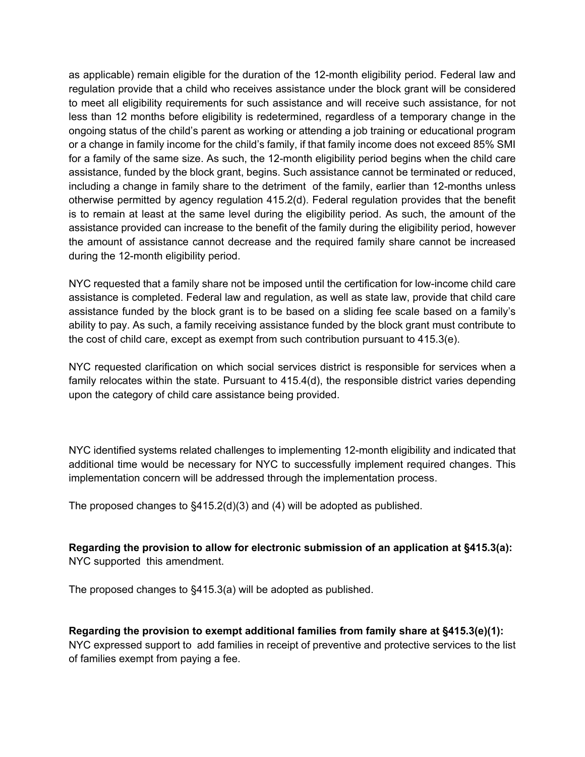as applicable) remain eligible for the duration of the 12-month eligibility period. Federal law and regulation provide that a child who receives assistance under the block grant will be considered to meet all eligibility requirements for such assistance and will receive such assistance, for not less than 12 months before eligibility is redetermined, regardless of a temporary change in the ongoing status of the child's parent as working or attending a job training or educational program or a change in family income for the child's family, if that family income does not exceed 85% SMI for a family of the same size. As such, the 12-month eligibility period begins when the child care assistance, funded by the block grant, begins. Such assistance cannot be terminated or reduced, including a change in family share to the detriment of the family, earlier than 12-months unless otherwise permitted by agency regulation 415.2(d). Federal regulation provides that the benefit is to remain at least at the same level during the eligibility period. As such, the amount of the assistance provided can increase to the benefit of the family during the eligibility period, however the amount of assistance cannot decrease and the required family share cannot be increased during the 12-month eligibility period.

NYC requested that a family share not be imposed until the certification for low-income child care assistance is completed. Federal law and regulation, as well as state law, provide that child care assistance funded by the block grant is to be based on a sliding fee scale based on a family's ability to pay. As such, a family receiving assistance funded by the block grant must contribute to the cost of child care, except as exempt from such contribution pursuant to 415.3(e).

NYC requested clarification on which social services district is responsible for services when a family relocates within the state. Pursuant to 415.4(d), the responsible district varies depending upon the category of child care assistance being provided.

NYC identified systems related challenges to implementing 12-month eligibility and indicated that additional time would be necessary for NYC to successfully implement required changes. This implementation concern will be addressed through the implementation process.

The proposed changes to §415.2(d)(3) and (4) will be adopted as published.

**Regarding the provision to allow for electronic submission of an application at §415.3(a):** NYC supported this amendment.

The proposed changes to §415.3(a) will be adopted as published.

**Regarding the provision to exempt additional families from family share at §415.3(e)(1):** NYC expressed support to add families in receipt of preventive and protective services to the list of families exempt from paying a fee.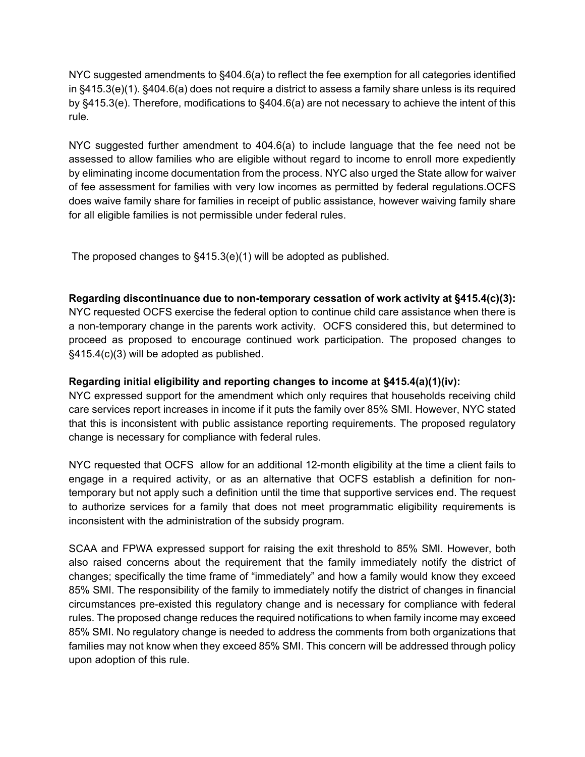NYC suggested amendments to §404.6(a) to reflect the fee exemption for all categories identified in §415.3(e)(1). §404.6(a) does not require a district to assess a family share unless is its required by §415.3(e). Therefore, modifications to §404.6(a) are not necessary to achieve the intent of this rule.

NYC suggested further amendment to 404.6(a) to include language that the fee need not be assessed to allow families who are eligible without regard to income to enroll more expediently by eliminating income documentation from the process. NYC also urged the State allow for waiver of fee assessment for families with very low incomes as permitted by federal regulations.OCFS does waive family share for families in receipt of public assistance, however waiving family share for all eligible families is not permissible under federal rules.

The proposed changes to §415.3(e)(1) will be adopted as published.

### **Regarding discontinuance due to non-temporary cessation of work activity at §415.4(c)(3):**

NYC requested OCFS exercise the federal option to continue child care assistance when there is a non-temporary change in the parents work activity. OCFS considered this, but determined to proceed as proposed to encourage continued work participation. The proposed changes to §415.4(c)(3) will be adopted as published.

#### **Regarding initial eligibility and reporting changes to income at §415.4(a)(1)(iv):**

NYC expressed support for the amendment which only requires that households receiving child care services report increases in income if it puts the family over 85% SMI. However, NYC stated that this is inconsistent with public assistance reporting requirements. The proposed regulatory change is necessary for compliance with federal rules.

NYC requested that OCFS allow for an additional 12-month eligibility at the time a client fails to engage in a required activity, or as an alternative that OCFS establish a definition for nontemporary but not apply such a definition until the time that supportive services end. The request to authorize services for a family that does not meet programmatic eligibility requirements is inconsistent with the administration of the subsidy program.

SCAA and FPWA expressed support for raising the exit threshold to 85% SMI. However, both also raised concerns about the requirement that the family immediately notify the district of changes; specifically the time frame of "immediately" and how a family would know they exceed 85% SMI. The responsibility of the family to immediately notify the district of changes in financial circumstances pre-existed this regulatory change and is necessary for compliance with federal rules. The proposed change reduces the required notifications to when family income may exceed 85% SMI. No regulatory change is needed to address the comments from both organizations that families may not know when they exceed 85% SMI. This concern will be addressed through policy upon adoption of this rule.